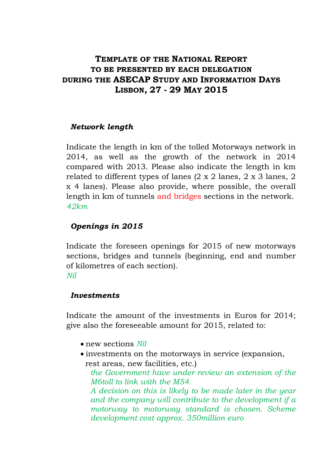# **TEMPLATE OF THE NATIONAL REPORT TO BE PRESENTED BY EACH DELEGATION DURING THE ASECAP STUDY AND INFORMATION DAYS LISBON, 27 - 29 MAY 2015**

#### *Network length*

Indicate the length in km of the tolled Motorways network in 2014, as well as the growth of the network in 2014 compared with 2013. Please also indicate the length in km related to different types of lanes  $(2 \times 2 \text{ lanes}, 2 \times 3 \text{ lanes}, 2 \text{ lanes})$ x 4 lanes). Please also provide, where possible, the overall length in km of tunnels and bridges sections in the network. *42km*

### *Openings in 2015*

Indicate the foreseen openings for 2015 of new motorways sections, bridges and tunnels (beginning, end and number of kilometres of each section). *Nil*

#### *Investments*

Indicate the amount of the investments in Euros for 2014; give also the foreseeable amount for 2015, related to:

- new sections *Nil*
- investments on the motorways in service (expansion, rest areas, new facilities, etc.)

*the Government have under review an extension of the M6toll to link with the M54.*

*A decision on this is likely to be made later in the year and the company will contribute to the development if a motorway to motorway standard is chosen. Scheme development cost approx. 350million euro*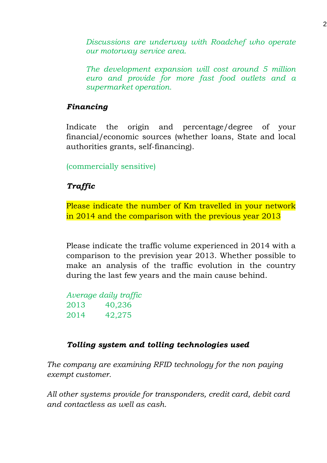*Discussions are underway with Roadchef who operate our motorway service area.*

*The development expansion will cost around 5 million euro and provide for more fast food outlets and a supermarket operation.*

### *Financing*

Indicate the origin and percentage/degree of your financial/economic sources (whether loans, State and local authorities grants, self-financing).

(commercially sensitive)

## *Traffic*

Please indicate the number of Km travelled in your network in 2014 and the comparison with the previous year 2013

Please indicate the traffic volume experienced in 2014 with a comparison to the prevision year 2013. Whether possible to make an analysis of the traffic evolution in the country during the last few years and the main cause behind.

*Average daily traffic* 2013 40,236 2014 42,275

## *Tolling system and tolling technologies used*

*The company are examining RFID technology for the non paying exempt customer.*

*All other systems provide for transponders, credit card, debit card and contactless as well as cash.*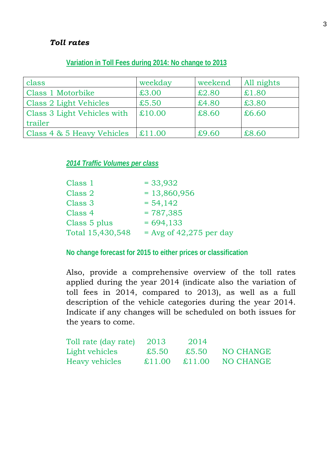#### *Toll rates*

#### **Variation in Toll Fees during 2014: No change to 2013**

| class                       | weekday | weekend | All nights |
|-----------------------------|---------|---------|------------|
| Class 1 Motorbike           | £3.00   | £2.80   | £1.80      |
| Class 2 Light Vehicles      | £5.50   | £4.80   | £3.80      |
| Class 3 Light Vehicles with | £10.00  | £8.60   | £6.60      |
| trailer                     |         |         |            |
| Class 4 & 5 Heavy Vehicles  | £11.00  | £9.60   | £8.60      |

#### *2014 Traffic Volumes per class*

| Class 1          | $= 33,932$                |
|------------------|---------------------------|
| Class 2          | $= 13,860,956$            |
| Class 3          | $= 54,142$                |
| Class 4          | $= 787,385$               |
| Class 5 plus     | $= 694, 133$              |
| Total 15,430,548 | $=$ Avg of 42,275 per day |

**No change forecast for 2015 to either prices or classification**

Also, provide a comprehensive overview of the toll rates applied during the year 2014 (indicate also the variation of toll fees in 2014, compared to 2013), as well as a full description of the vehicle categories during the year 2014. Indicate if any changes will be scheduled on both issues for the years to come.

| Toll rate (day rate) | 2013  | 2014              |           |
|----------------------|-------|-------------------|-----------|
| Light vehicles       | £5.50 | £5.50             | NO CHANGE |
| Heavy vehicles       |       | $£11.00 \t£11.00$ | NO CHANGE |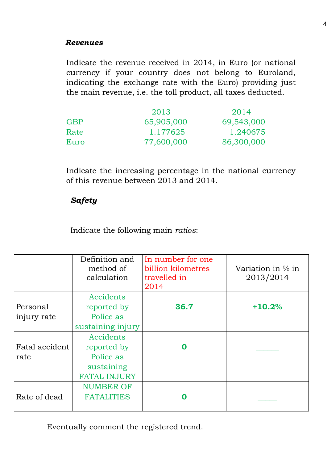#### *Revenues*

Indicate the revenue received in 2014, in Euro (or national currency if your country does not belong to Euroland, indicating the exchange rate with the Euro) providing just the main revenue, i.e. the toll product, all taxes deducted.

|      | 2013       | 2014       |
|------|------------|------------|
| GBP  | 65,905,000 | 69,543,000 |
| Rate | 1.177625   | 1.240675   |
| Euro | 77,600,000 | 86,300,000 |

Indicate the increasing percentage in the national currency of this revenue between 2013 and 2014.

## *Safety*

Indicate the following main *ratios*:

|                         | Definition and<br>method of<br>calculation                                 | In number for one<br>billion kilometres<br>travelled in<br>2014 | Variation in % in<br>2013/2014 |
|-------------------------|----------------------------------------------------------------------------|-----------------------------------------------------------------|--------------------------------|
| Personal<br>injury rate | Accidents<br>reported by<br>Police as<br>sustaining injury                 | 36.7                                                            | $+10.2%$                       |
| Fatal accident<br>rate  | Accidents<br>reported by<br>Police as<br>sustaining<br><b>FATAL INJURY</b> |                                                                 |                                |
| Rate of dead            | <b>NUMBER OF</b><br><b>FATALITIES</b>                                      |                                                                 |                                |

Eventually comment the registered trend.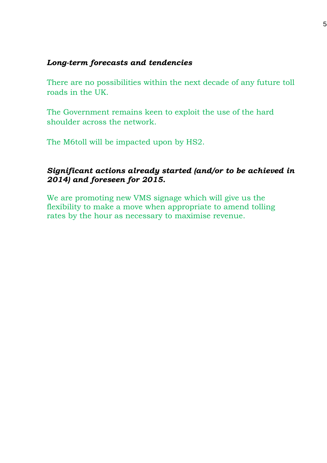#### *Long-term forecasts and tendencies*

There are no possibilities within the next decade of any future toll roads in the UK.

The Government remains keen to exploit the use of the hard shoulder across the network.

The M6toll will be impacted upon by HS2.

### *Significant actions already started (and/or to be achieved in 2014) and foreseen for 2015.*

We are promoting new VMS signage which will give us the flexibility to make a move when appropriate to amend tolling rates by the hour as necessary to maximise revenue.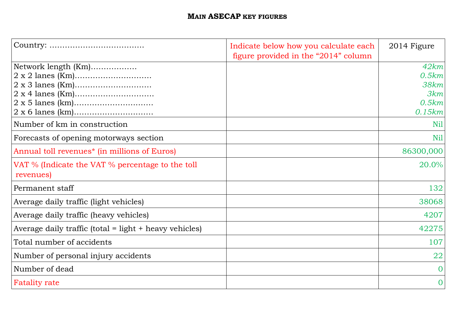# **MAIN ASECAP KEY FIGURES**

|                                                                                                    | Indicate below how you calculate each<br>figure provided in the "2014" column | 2014 Figure                                     |
|----------------------------------------------------------------------------------------------------|-------------------------------------------------------------------------------|-------------------------------------------------|
| Network length (Km)                                                                                |                                                                               | 42km<br>0.5km<br>38km<br>3km<br>0.5km<br>0.15km |
| Number of km in construction                                                                       |                                                                               | N <sub>il</sub><br>N <sub>il</sub>              |
| Forecasts of opening motorways section<br>Annual toll revenues <sup>*</sup> (in millions of Euros) |                                                                               | 86300,000                                       |
| VAT % (Indicate the VAT % percentage to the toll<br>revenues)                                      |                                                                               | 20.0%                                           |
| Permanent staff                                                                                    |                                                                               | 132                                             |
| Average daily traffic (light vehicles)                                                             |                                                                               | 38068                                           |
| Average daily traffic (heavy vehicles)                                                             |                                                                               | 4207                                            |
| Average daily traffic (total = light + heavy vehicles)                                             |                                                                               | 42275                                           |
| Total number of accidents                                                                          |                                                                               | 107                                             |
| Number of personal injury accidents                                                                |                                                                               | 22                                              |
| Number of dead                                                                                     |                                                                               | $\Omega$                                        |
| <b>Fatality rate</b>                                                                               |                                                                               | $\overline{0}$                                  |